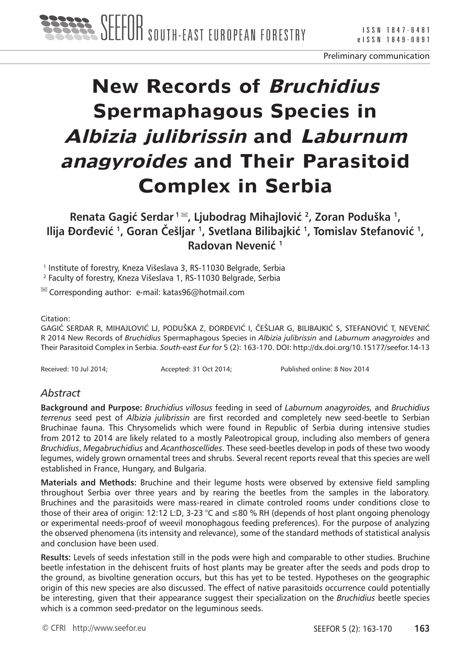

# **New Records of Bruchidius Spermaphagous Species in Albizia julibrissin and Laburnum anagyroides and Their Parasitoid Complex in Serbia**

**Renata Gagić Serdar<sup>1</sup>, Ljubodrag Mihajlović <sup>2</sup>, Zoran Poduška 1, Ilija Ðorđević <sup>1</sup>, Goran Češljar <sup>1</sup>, Svetlana Bilibajkić <sup>1</sup>, Tomislav Stefanović 1, Radovan Nevenić <sup>1</sup>**

<sup>1</sup> Institute of forestry, Kneza Višeslava 3, RS-11030 Belgrade, Serbia

2 Faculty of forestry, Kneza Višeslava 1, RS-11030 Belgrade, Serbia

 $\blacksquare$  Corresponding author: e-mail: katas96@hotmail.com

#### Citation:

GAGIĆ SERDAR R, MIHAJLOVIĆ LJ, PODUŠKA Z, ÐORÐEVIĆ I, ČEŠLJAR G, BILIBAJKIĆ S, STEFANOVIĆ T, NEVENIĆ R 2014 New Records of *Bruchidius* Spermaphagous Species in *Albizia julibrissin* and *Laburnum anagyroides* and Their Parasitoid Complex in Serbia. *South-east Eur for* 5 (2): 163-170. DOI: http://dx.doi.org/10.15177/seefor.14-13

Received: 10 Jul 2014; Accepted: 31 Oct 2014; Published online: 8 Nov 2014

## *Abstract*

**Background and Purpose:** *Bruchidius villosus* feeding in seed of *Laburnum anagyroides,* and *Bruchidius terrenus* seed pest of *Albizia julibrissin* are first recorded and completely new seed-beetle to Serbian Bruchinae fauna. This Chrysomelids which were found in Republic of Serbia during intensive studies from 2012 to 2014 are likely related to a mostly Paleotropical group, including also members of genera *Bruchidius*, *Megabruchidius* and *Acanthoscellides*. These seed-beetles develop in pods of these two woody legumes, widely grown ornamental trees and shrubs. Several recent reports reveal that this species are well established in France, Hungary, and Bulgaria.

**Materials and Methods:** Bruchine and their legume hosts were observed by extensive field sampling throughout Serbia over three years and by rearing the beetles from the samples in the laboratory. Bruchines and the parasitoids were mass-reared in climate controled rooms under conditions close to those of their area of origin: 12:12 L:D, 3-23 °C and ≤80 % RH (depends of host plant ongoing phenology or experimental needs-proof of weevil monophagous feeding preferences). For the purpose of analyzing the observed phenomena (its intensity and relevance), some of the standard methods of statistical analysis and conclusion have been used.

**Results:** Levels of seeds infestation still in the pods were high and comparable to other studies. Bruchine beetle infestation in the dehiscent fruits of host plants may be greater after the seeds and pods drop to the ground, as bivoltine generation occurs, but this has yet to be tested. Hypotheses on the geographic origin of this new species are also discussed. The effect of native parasitoids occurrence could potentially be interesting, given that their appearance suggest their specialization on the *Bruchidius* beetle species which is a common seed-predator on the leguminous seeds.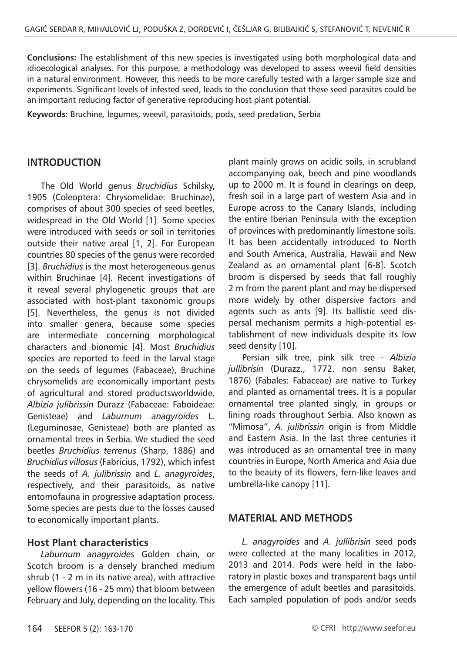**Conclusions:** The establishment of this new species is investigated using both morphological data and idioecological analyses. For this purpose, a methodology was developed to assess weevil field densities in a natural environment. However, this needs to be more carefully tested with a larger sample size and experiments. Significant levels of infested seed, leads to the conclusion that these seed parasites could be an important reducing factor of generative reproducing host plant potential.

**Keywords:** Bruchine*,* legumes, weevil, parasitoids, pods, seed predation, Serbia

## **INTRODUCTION**

The Old World genus *Bruchidius* Schilsky, 1905 (Coleoptera: Chrysomelidae: Bruchinae), comprises of about 300 species of seed beetles, widespread in the Old World [1]. Some species were introduced with seeds or soil in territories outside their native areal [1, 2]. For European countries 80 species of the genus were recorded [3]. *Bruchidius* is the most heterogeneous genus within Bruchinae [4]. Recent investigations of it reveal several phylogenetic groups that are associated with host-plant taxonomic groups [5]. Nevertheless, the genus is not divided into smaller genera, because some species are intermediate concerning morphological characters and bionomic [4]. Most *Bruchidius*  species are reported to feed in the larval stage on the seeds of legumes (Fabaceae), Bruchine chrysomelids are economically important pests of agricultural and stored productsworldwide. *Albizia julibrissin* Durazz (Fabaceae: Faboideae: Genisteae) and *Laburnum anagyroides* L. (Leguminosae, Genisteae) both are planted as ornamental trees in Serbia. We studied the seed beetles *Bruchidius terrenus* (Sharp, 1886) and *Bruchidius villosus* (Fabricius, 1792), which infest the seeds of *A. julibrissin* and *L. anagyroides*, respectively, and their parasitoids, as native entomofauna in progressive adaptation process. Some species are pests due to the losses caused to economically important plants.

### **Host Plant characteristics**

*Laburnum anagyroides* Golden chain, or Scotch broom is a densely branched medium shrub (1 - 2 m in its native area), with attractive yellow flowers (16 - 25 mm) that bloom between February and July, depending on the locality. This plant mainly grows on acidic soils, in scrubland accompanying oak, beech and pine woodlands up to 2000 m. It is found in clearings on deep, fresh soil in a large part of western Asia and in Europe across to the Canary Islands, including the entire Iberian Peninsula with the exception of provinces with predominantly limestone soils. It has been accidentally introduced to North and South America, Australia, Hawaii and New Zealand as an ornamental plant [6-8]. Scotch broom is dispersed by seeds that fall roughly 2 m from the parent plant and may be dispersed more widely by other dispersive factors and agents such as ants [9]. Its ballistic seed dispersal mechanism permits a high-potential establishment of new individuals despite its low seed density [10].

Persian silk tree, pink silk tree - *Albizia jullibrisin* (Durazz., 1772. non sensu Baker, 1876) (Fabales: Fabaceae) are native to Turkey and planted as ornamental trees. It is a popular ornamental tree planted singly, in groups or lining roads throughout Serbia. Also known as "Mimosa", *A. julibrissin* origin is from Middle and Eastern Asia. In the last three centuries it was introduced as an ornamental tree in many countries in Europe, North America and Asia due to the beauty of its flowers, fern-like leaves and umbrella-like canopy [11].

### **MATERIAL AND METHODS**

*L. anagyroides* and *A. jullibrisin* seed pods were collected at the many localities in 2012, 2013 and 2014. Pods were held in the laboratory in plastic boxes and transparent bags until the emergence of adult beetles and parasitoids. Each sampled population of pods and/or seeds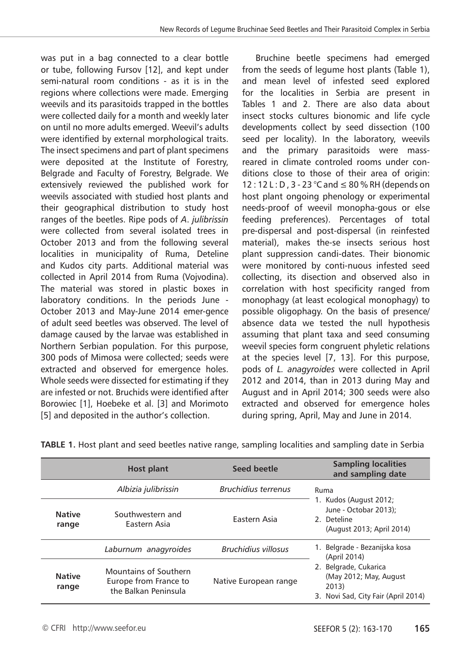was put in a bag connected to a clear bottle or tube, following Fursov [12], and kept under semi-natural room conditions - as it is in the regions where collections were made. Emerging weevils and its parasitoids trapped in the bottles were collected daily for a month and weekly later on until no more adults emerged. Weevil's adults were identified by external morphological traits. The insect specimens and part of plant specimens were deposited at the Institute of Forestry, Belgrade and Faculty of Forestry, Belgrade. We extensively reviewed the published work for weevils associated with studied host plants and their geographical distribution to study host ranges of the beetles. Ripe pods of *A*. *julibrissin* were collected from several isolated trees in October 2013 and from the following several localities in municipality of Ruma, Deteline and Kudos city parts. Additional material was collected in April 2014 from Ruma (Vojvodina). The material was stored in plastic boxes in laboratory conditions. In the periods June - October 2013 and May-June 2014 emer-gence of adult seed beetles was observed. The level of damage caused by the larvae was established in Northern Serbian population. For this purpose, 300 pods of Mimosa were collected; seeds were extracted and observed for emergence holes. Whole seeds were dissected for estimating if they are infested or not. Bruchids were identified after Borowiec [1], Hoebeke et al. [3] and Morimoto [5] and deposited in the author's collection.

Bruchine beetle specimens had emerged from the seeds of legume host plants (Table 1), and mean level of infested seed explored for the localities in Serbia are present in Tables 1 and 2. There are also data about insect stocks cultures bionomic and life cycle developments collect by seed dissection (100 seed per locality). In the laboratory, weevils and the primary parasitoids were massreared in climate controled rooms under conditions close to those of their area of origin: 12 : 12 L : D , 3 - 23 °C and  $\leq$  80 % RH (depends on host plant ongoing phenology or experimental needs-proof of weevil monopha-gous or else feeding preferences). Percentages of total pre-dispersal and post-dispersal (in reinfested material), makes the-se insects serious host plant suppression candi-dates. Their bionomic were monitored by conti-nuous infested seed collecting, its disection and observed also in correlation with host specificity ranged from monophagy (at least ecological monophagy) to possible oligophagy. On the basis of presence/ absence data we tested the null hypothesis assuming that plant taxa and seed consuming weevil species form congruent phyletic relations at the species level [7, 13]. For this purpose, pods of *L. anagyroides* were collected in April 2012 and 2014, than in 2013 during May and August and in April 2014; 300 seeds were also extracted and observed for emergence holes during spring, April, May and June in 2014.

|                        | Host plant                                                             | Seed beetle                | <b>Sampling localities</b><br>and sampling date                                                    |  |  |
|------------------------|------------------------------------------------------------------------|----------------------------|----------------------------------------------------------------------------------------------------|--|--|
|                        | Albizia julibrissin                                                    | <b>Bruchidius terrenus</b> | Ruma<br>1. Kudos (August 2012;<br>June - Octobar 2013);<br>2 Deteline<br>(August 2013; April 2014) |  |  |
| <b>Native</b><br>range | Southwestern and<br>Fastern Asia                                       | Eastern Asia               |                                                                                                    |  |  |
|                        | Laburnum anagyroides                                                   | <b>Bruchidius villosus</b> | 1. Belgrade - Bezanijska kosa<br>(April 2014)                                                      |  |  |
| <b>Native</b><br>range | Mountains of Southern<br>Europe from France to<br>the Balkan Peninsula | Native European range      | 2. Belgrade, Cukarica<br>(May 2012; May, August<br>2013)<br>Novi Sad, City Fair (April 2014)<br>3. |  |  |

**TABLE 1.** Host plant and seed beetles native range, sampling localities and sampling date in Serbia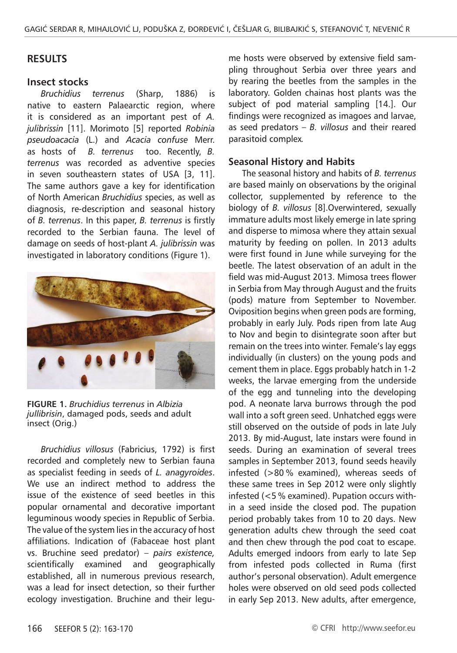## **RESULTS**

#### **Insect stocks**

*Bruchidius terrenus* (Sharp, 1886) is native to eastern Palaearctic region, where it is considered as an important pest of *A. julibrissin* [11]. Morimoto [5] reported *Robinia pseudoacacia* (L.) and *Acacia confuse* Merr. as hosts of *B. terrenus* too. Recently, *B. terrenus* was recorded as adventive species in seven southeastern states of USA [3, 11]. The same authors gave a key for identification of North American *Bruchidius* species, as well as diagnosis, re-description and seasonal history of *B. terrenus*. In this paper, *B. terrenus* is firstly recorded to the Serbian fauna. The level of damage on seeds of host-plant *A. julibrissin* was investigated in laboratory conditions (Figure 1).



**FIGURE 1.** *Bruchidius terrenus* in *Albizia jullibrisin*, damaged pods, seeds and adult insect (Orig.)

*Bruchidius villosus* (Fabricius, 1792) is first recorded and completely new to Serbian fauna as specialist feeding in seeds of *L. anagyroides*. We use an indirect method to address the issue of the existence of seed beetles in this popular ornamental and decorative important leguminous woody species in Republic of Serbia. The value of the system lies in the accuracy of host affiliations. Indication of (Fabaceae host plant vs. Bruchine seed predator) – *pairs existence,* scientifically examined and geographically established, all in numerous previous research, was a lead for insect detection, so their further ecology investigation. Bruchine and their legume hosts were observed by extensive field sampling throughout Serbia over three years and by rearing the beetles from the samples in the laboratory. Golden chainas host plants was the subject of pod material sampling [14.]. Our findings were recognized as imagoes and larvae, as seed predators – *B. villosus* and their reared parasitoid complex*.*

### **Seasonal History and Habits**

The seasonal history and habits of *B. terrenus*  are based mainly on observations by the original collector, supplemented by reference to the biology of *B. villosus* [8].Overwintered, sexually immature adults most likely emerge in late spring and disperse to mimosa where they attain sexual maturity by feeding on pollen. In 2013 adults were first found in June while surveying for the beetle. The latest observation of an adult in the field was mid-August 2013. Mimosa trees flower in Serbia from May through August and the fruits (pods) mature from September to November. Oviposition begins when green pods are forming, probably in early July. Pods ripen from late Aug to Nov and begin to disintegrate soon after but remain on the trees into winter. Female's lay eggs individually (in clusters) on the young pods and cement them in place. Eggs probably hatch in 1-2 weeks, the larvae emerging from the underside of the egg and tunneling into the developing pod. A neonate larva burrows through the pod wall into a soft green seed. Unhatched eggs were still observed on the outside of pods in late July 2013. By mid-August, late instars were found in seeds. During an examination of several trees samples in September 2013, found seeds heavily infested (>80 % examined), whereas seeds of these same trees in Sep 2012 were only slightly infested (<5 % examined). Pupation occurs within a seed inside the closed pod. The pupation period probably takes from 10 to 20 days. New generation adults chew through the seed coat and then chew through the pod coat to escape. Adults emerged indoors from early to late Sep from infested pods collected in Ruma (first author's personal observation). Adult emergence holes were observed on old seed pods collected in early Sep 2013. New adults, after emergence,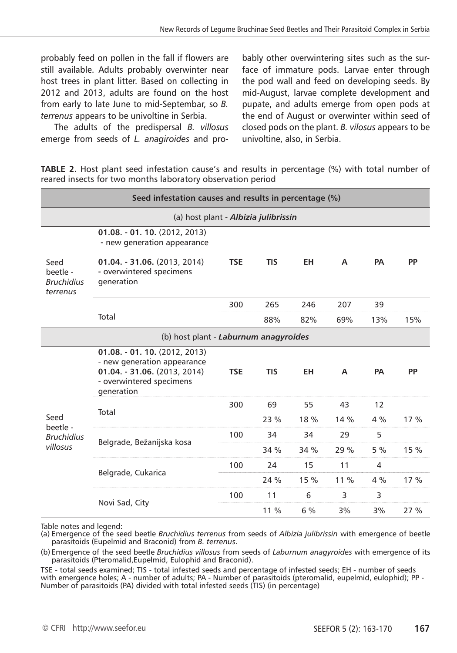probably feed on pollen in the fall if flowers are still available. Adults probably overwinter near host trees in plant litter. Based on collecting in 2012 and 2013, adults are found on the host from early to late June to mid-Septembar, so *B. terrenus* appears to be univoltine in Serbia.

The adults of the predispersal *B. villosus* emerge from seeds of *L. anagiroides* and probably other overwintering sites such as the surface of immature pods. Larvae enter through the pod wall and feed on developing seeds. By mid-August, larvae complete development and pupate, and adults emerge from open pods at the end of August or overwinter within seed of closed pods on the plant. *B. vilosus* appears to be univoltine, also, in Serbia.

**TABLE 2.** Host plant seed infestation cause's and results in percentage (%) with total number of reared insects for two months laboratory observation period

| Seed infestation causes and results in percentage (%) |                                                                                                                                         |            |            |           |        |           |      |
|-------------------------------------------------------|-----------------------------------------------------------------------------------------------------------------------------------------|------------|------------|-----------|--------|-----------|------|
| (a) host plant - Albizia julibrissin                  |                                                                                                                                         |            |            |           |        |           |      |
| Seed<br>beetle -<br><b>Bruchidius</b><br>terrenus     | 01.08. - 01. 10. (2012, 2013)<br>- new generation appearance                                                                            |            |            |           |        |           |      |
|                                                       | 01.04. - 31.06. (2013, 2014)<br>- overwintered specimens<br>generation                                                                  | <b>TSE</b> | <b>TIS</b> | <b>EH</b> | A      | <b>PA</b> | PP   |
|                                                       | Total                                                                                                                                   | 300        | 265        | 246       | 207    | 39        |      |
|                                                       |                                                                                                                                         |            | 88%        | 82%       | 69%    | 13%       | 15%  |
| (b) host plant - Laburnum anagyroides                 |                                                                                                                                         |            |            |           |        |           |      |
| Seed<br>beetle -<br><b>Bruchidius</b><br>villosus     | $01.08. - 01.10. (2012, 2013)$<br>- new generation appearance<br>01.04. - 31.06. (2013, 2014)<br>- overwintered specimens<br>generation | <b>TSE</b> | <b>TIS</b> | <b>EH</b> | A      | <b>PA</b> | PP   |
|                                                       | Total                                                                                                                                   | 300        | 69         | 55        | 43     | 12        |      |
|                                                       |                                                                                                                                         |            | 23 %       | 18 %      | 14%    | 4%        | 17%  |
|                                                       | Belgrade, Bežanijska kosa                                                                                                               | 100        | 34         | 34        | 29     | 5         |      |
|                                                       |                                                                                                                                         |            | 34 %       | 34 %      | 29 %   | 5%        | 15 % |
|                                                       | Belgrade, Cukarica                                                                                                                      | 100        | 24         | 15        | 11     | 4         |      |
|                                                       |                                                                                                                                         |            | 24 %       | 15 %      | $11\%$ | 4%        | 17 % |
|                                                       | Novi Sad, City                                                                                                                          | 100        | 11         | 6         | 3      | 3         |      |
|                                                       |                                                                                                                                         |            | $11\%$     | $6\%$     | 3%     | 3%        | 27%  |

Table notes and legend:

(a) Emergence of the seed beetle *Bruchidius terrenus* from seeds of *Albizia julibrissin* with emergence of beetle parasitoids (Eupelmid and Braconid) from *B. terrenus*.

(b) Emergence of the seed beetle *Bruchidius villosus* from seeds of *Laburnum anagyroides* with emergence of its parasitoids (Pteromalid,Eupelmid, Eulophid and Braconid).

TSE - total seeds examined; TIS - total infested seeds and percentage of infested seeds; EH - number of seeds with emergence holes; A - number of adults; PA - Number of parasitoids (pteromalid, eupelmid, eulophid); PP - Number of parasitoids (PA) divided with total infested seeds (TIS) (in percentage)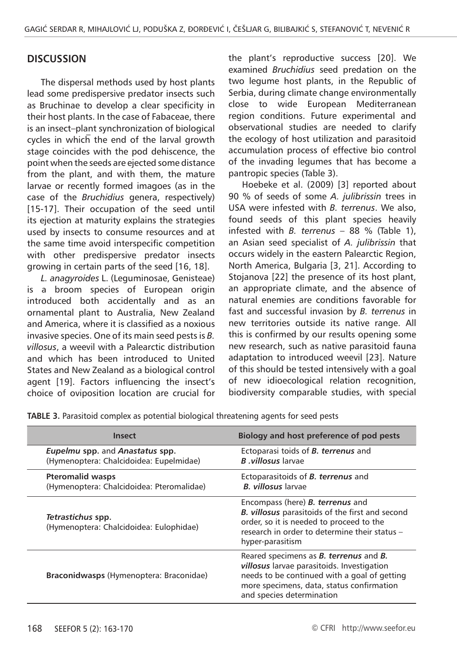## **DISCUSSION**

The dispersal methods used by host plants lead some predispersive predator insects such as Bruchinae to develop a clear specificity in their host plants. In the case of Fabaceae, there is an insect–plant synchronization of biological cycles in which the end of the larval growth stage coincides with the pod dehiscence, the point when the seeds are ejected some distance from the plant, and with them, the mature larvae or recently formed imagoes (as in the case of the *Bruchidius* genera, respectively) [15-17]. Their occupation of the seed until its ejection at maturity explains the strategies used by insects to consume resources and at the same time avoid interspecific competition with other predispersive predator insects growing in certain parts of the seed [16, 18].

*L. anagyroides* L. (Leguminosae, Genisteae) is a broom species of European origin introduced both accidentally and as an ornamental plant to Australia, New Zealand and America, where it is classified as a noxious invasive species. One of its main seed pests is *B. villosus*, a weevil with a Palearctic distribution and which has been introduced to United States and New Zealand as a biological control agent [19]. Factors influencing the insect's choice of oviposition location are crucial for the plant's reproductive success [20]. We examined *Bruchidius* seed predation on the two legume host plants, in the Republic of Serbia, during climate change environmentally close to wide European Mediterranean region conditions. Future experimental and observational studies are needed to clarify the ecology of host utilization and parasitoid accumulation process of effective bio control of the invading legumes that has become a pantropic species (Table 3).

Hoebeke et al. (2009) [3] reported about 90 % of seeds of some *A. julibrissin* trees in USA were infested with *B. terrenus*. We also, found seeds of this plant species heavily infested with *B. terrenus* – 88 % (Table 1), an Asian seed specialist of *A. julibrissin* that occurs widely in the eastern Palearctic Region, North America, Bulgaria [3, 21]. According to Stojanova [22] the presence of its host plant, an appropriate climate, and the absence of natural enemies are conditions favorable for fast and successful invasion by *B. terrenus* in new territories outside its native range. All this is confirmed by our results opening some new research, such as native parasitoid fauna adaptation to introduced weevil [23]. Nature of this should be tested intensively with a goal of new idioecological relation recognition, biodiversity comparable studies, with special

| <b>Insect</b>                                                                     | Biology and host preference of pod pests                                                                                                                                                                                     |  |  |  |
|-----------------------------------------------------------------------------------|------------------------------------------------------------------------------------------------------------------------------------------------------------------------------------------------------------------------------|--|--|--|
| <b>Eupelmu spp. and Anastatus spp.</b><br>(Hymenoptera: Chalcidoidea: Eupelmidae) | Ectoparasi toids of <b>B</b> . terrenus and<br><b>B</b> villosus larvae                                                                                                                                                      |  |  |  |
| <b>Pteromalid wasps</b><br>(Hymenoptera: Chalcidoidea: Pteromalidae)              | Ectoparasitoids of <b>B. terrenus</b> and<br><b>B.</b> villosus larvae                                                                                                                                                       |  |  |  |
| Tetrastichus spp.<br>(Hymenoptera: Chalcidoidea: Eulophidae)                      | Encompass (here) <b>B. terrenus</b> and<br><b>B. villosus</b> parasitoids of the first and second<br>order, so it is needed to proceed to the<br>research in order to determine their status -<br>hyper-parasitism           |  |  |  |
| Braconidwasps (Hymenoptera: Braconidae)                                           | Reared specimens as <b>B. terrenus</b> and <b>B.</b><br>villosus larvae parasitoids. Investigation<br>needs to be continued with a goal of getting<br>more specimens, data, status confirmation<br>and species determination |  |  |  |

**TABLE 3.** Parasitoid complex as potential biological threatening agents for seed pests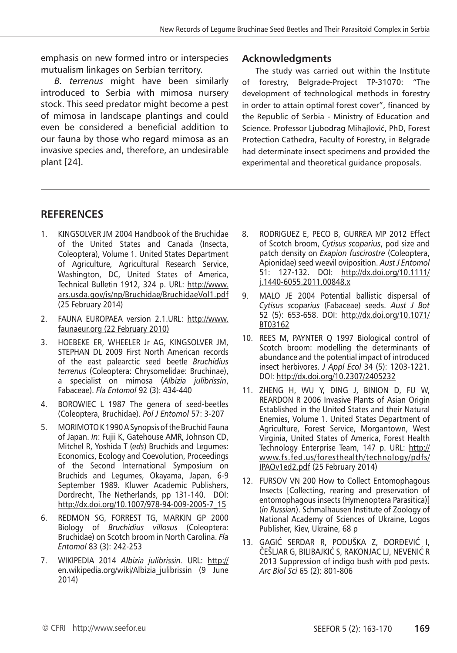emphasis on new formed intro or interspecies mutualism linkages on Serbian territory.

*B. terrenus* might have been similarly introduced to Serbia with mimosa nursery stock. This seed predator might become a pest of mimosa in landscape plantings and could even be considered a beneficial addition to our fauna by those who regard mimosa as an invasive species and, therefore, an undesirable plant [24].

## **Acknowledgments**

The study was carried out within the Institute of forestry, Belgrade-Project TP-31070: "The development of technological methods in forestry in order to attain optimal forest cover", financed by the Republic of Serbia - Ministry of Education and Science. Professor Ljubodrag Mihajlović, PhD, Forest Protection Cathedra, Faculty of Forestry, in Belgrade had determinate insect specimens and provided the experimental and theoretical guidance proposals.

# **RefereNces**

- 1. KINGSOLVER JM 2004 Handbook of the Bruchidae of the United States and Canada (Insecta, Coleoptera), Volume 1. United States Department of Agriculture, Agricultural Research Service, Washington, DC, United States of America, Technical Bulletin 1912, 324 p. URL: http://www. ars.usda.gov/is/np/Bruchidae/BruchidaeVol1.pdf (25 February 2014)
- 2. FAUNA EUROPAEA version 2.1.URL: http://www. faunaeur.org (22 February 2010)
- 3. HOEBEKE ER, WHEELER Jr AG, KINGSOLVER JM, STEPHAN DL 2009 First North American records of the east palearctic seed beetle *Bruchidius terrenus* (Coleoptera: Chrysomelidae: Bruchinae), a specialist on mimosa (*Albizia julibrissin*, Fabaceae). *Fla Entomol* 92 (3): 434-440
- 4. BOROWIEC L 1987 The genera of seed-beetles (Coleoptera, Bruchidae). *Pol J Entomol* 57: 3-207
- 5. MORIMOTO K 1990 A Synopsis of the Bruchid Fauna of Japan. *In*: Fujii K, Gatehouse AMR, Johnson CD, Mitchel R, Yoshida T (*eds*) Bruchids and Legumes: Economics, Ecology and Coevolution, Proceedings of the Second International Symposium on Bruchids and Legumes, Okayama, Japan, 6-9 September 1989. Kluwer Academic Publishers, Dordrecht, The Netherlands, pp 131-140. DOI: http://dx.doi.org/10.1007/978-94-009-2005-7\_15
- 6. REDMON SG, FORREST TG, MARKIN GP 2000 Biology of *Bruchidius villosus* (Coleoptera: Bruchidae) on Scotch broom in North Carolina. *Fla Entomol* 83 (3): 242-253
- 7. WIKIPEDIA 2014 *Albizia julibrissin*. URL: http:// en.wikipedia.org/wiki/Albizia\_julibrissin (9 June 2014)
- 8. RODRIGUEZ E, PECO B, GURREA MP 2012 Effect of Scotch broom, *Cytisus scoparius*, pod size and patch density on *Exapion fuscirostre* (Coleoptera, Apionidae) seed weevil oviposition. *Aust J Entomol* 51: 127-132. DOI: http://dx.doi.org/10.1111/ j.1440-6055.2011.00848.x
- 9. MALO JE 2004 Potential ballistic dispersal of *Cytisus scoparius* (Fabaceae) seeds. *Aust J Bot* 52 (5): 653-658. DOI: http://dx.doi.org/10.1071/ BT03162
- 10. REES M, PAYNTER Q 1997 Biological control of Scotch broom: modelling the determinants of abundance and the potential impact of introduced insect herbivores. *J Appl Ecol* 34 (5): 1203-1221. DOI: http://dx.doi.org/10.2307/2405232
- 11. ZHENG H, WU Y, DING J, BINION D, FU W, REARDON R 2006 Invasive Plants of Asian Origin Established in the United States and their Natural Enemies, Volume 1. United States Department of Agriculture, Forest Service, Morgantown, West Virginia, United States of America, Forest Health Technology Enterprise Team, 147 p. URL: http:// www.fs.fed.us/foresthealth/technology/pdfs/ IPAOv1ed2.pdf (25 February 2014)
- 12. FURSOV VN 200 How to Collect Entomophagous Insects [Collecting, rearing and preservation of entomophagous insects (Hymenoptera Parasitica)] (*in Russian*). Schmalhausen Institute of Zoology of National Academy of Sciences of Ukraine, Logos Publisher, Kiev, Ukraine, 68 p
- 13. GAGIĆ SERDAR R, PODUŠKA Z, ÐORÐEVIĆ I, ČEŠLJAR G, BILIBAJKIĆ S, RAKONJAC LJ, NEVENIĆ R 2013 Suppression of indigo bush with pod pests. *Arc Biol Sci* 65 (2): 801-806